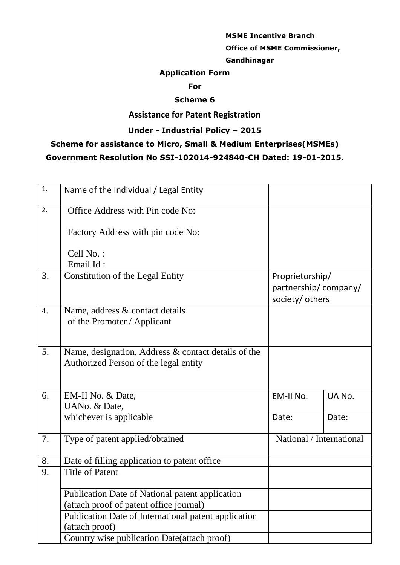# **MSME Incentive Branch Office of MSME Commissioner,**

#### **Gandhinagar**

### **Application Form**

#### **For**

### **Scheme 6**

## **Assistance for Patent Registration**

## **Under - Industrial Policy – 2015**

# **Scheme for assistance to Micro, Small & Medium Enterprises(MSMEs)**

## **Government Resolution No SSI-102014-924840-CH Dated: 19-01-2015.**

| 1. | Name of the Individual / Legal Entity                                                        |                                                            |        |
|----|----------------------------------------------------------------------------------------------|------------------------------------------------------------|--------|
| 2. | Office Address with Pin code No:                                                             |                                                            |        |
|    | Factory Address with pin code No:                                                            |                                                            |        |
|    | Cell No.:                                                                                    |                                                            |        |
|    | Email Id:                                                                                    |                                                            |        |
| 3. | <b>Constitution of the Legal Entity</b>                                                      | Proprietorship/<br>partnership/company/<br>society/ others |        |
| 4. | Name, address & contact details<br>of the Promoter / Applicant                               |                                                            |        |
| 5. | Name, designation, Address & contact details of the<br>Authorized Person of the legal entity |                                                            |        |
| 6. | EM-II No. & Date,                                                                            | EM-II No.                                                  | UA No. |
|    | UANo. & Date,                                                                                |                                                            |        |
|    | whichever is applicable                                                                      | Date:                                                      | Date:  |
| 7. | Type of patent applied/obtained                                                              | National / International                                   |        |
| 8. | Date of filling application to patent office                                                 |                                                            |        |
| 9. | <b>Title of Patent</b>                                                                       |                                                            |        |
|    | Publication Date of National patent application                                              |                                                            |        |
|    | (attach proof of patent office journal)                                                      |                                                            |        |
|    | Publication Date of International patent application<br>(attach proof)                       |                                                            |        |
|    | Country wise publication Date(attach proof)                                                  |                                                            |        |